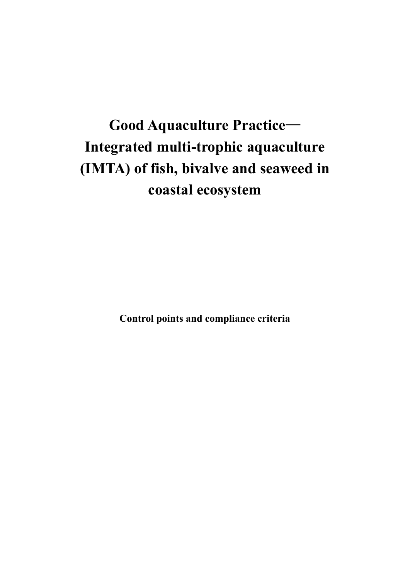# **Good Aquaculture Practice**— **Integrated multi-trophic aquaculture (IMTA) of fish, bivalve and seaweed in coastal ecosystem**

**Control points and compliance criteria**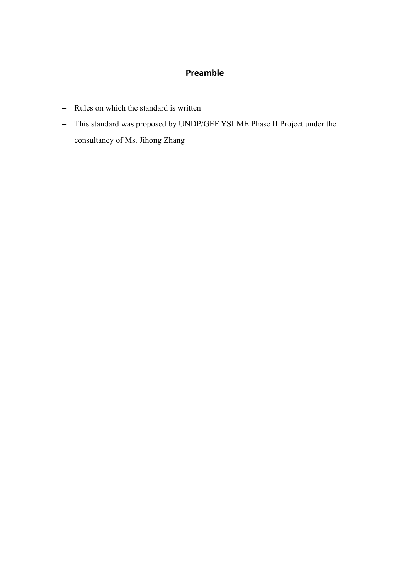#### **Preamble**

- Rules on which the standard is written
- This standard was proposed by UNDP/GEF YSLME Phase II Project under the consultancy of Ms. Jihong Zhang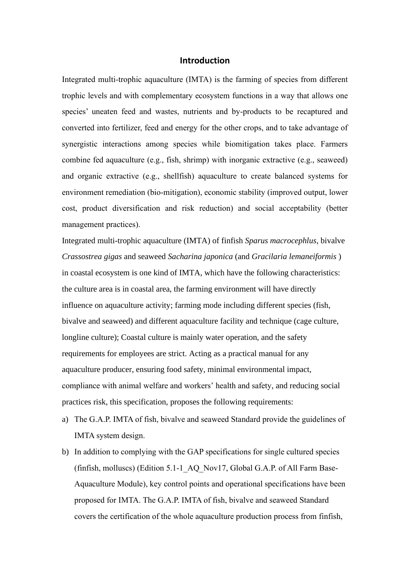#### **Introduction**

Integrated multi-trophic aquaculture (IMTA) is the farming of species from different trophic levels and with complementary ecosystem functions in a way that allows one species' uneaten feed and wastes, nutrients and by-products to be recaptured and converted into fertilizer, feed and energy for the other crops, and to take advantage of synergistic interactions among species while biomitigation takes place. Farmers combine fed aquaculture (e.g., fish, shrimp) with inorganic extractive (e.g., seaweed) and organic extractive (e.g., shellfish) aquaculture to create balanced systems for environment remediation (bio-mitigation), economic stability (improved output, lower cost, product diversification and risk reduction) and social acceptability (better management practices).

Integrated multi-trophic aquaculture (IMTA) of finfish *Sparus macrocephlus*, bivalve *Crassostrea gigas* and seaweed *Sacharina japonica* (and *Gracilaria lemaneiformis* ) in coastal ecosystem is one kind of IMTA, which have the following characteristics: the culture area is in coastal area, the farming environment will have directly influence on aquaculture activity; farming mode including different species (fish, bivalve and seaweed) and different aquaculture facility and technique (cage culture, longline culture); Coastal culture is mainly water operation, and the safety requirements for employees are strict. Acting as a practical manual for any aquaculture producer, ensuring food safety, minimal environmental impact, compliance with animal welfare and workers' health and safety, and reducing social practices risk, this specification, proposes the following requirements:

- a) The G.A.P. IMTA of fish, bivalve and seaweed Standard provide the guidelines of IMTA system design.
- b) In addition to complying with the GAP specifications for single cultured species (finfish, molluscs) (Edition 5.1-1\_AQ\_Nov17, Global G.A.P. of All Farm Base-Aquaculture Module), key control points and operational specifications have been proposed for IMTA. The G.A.P. IMTA of fish, bivalve and seaweed Standard covers the certification of the whole aquaculture production process from finfish,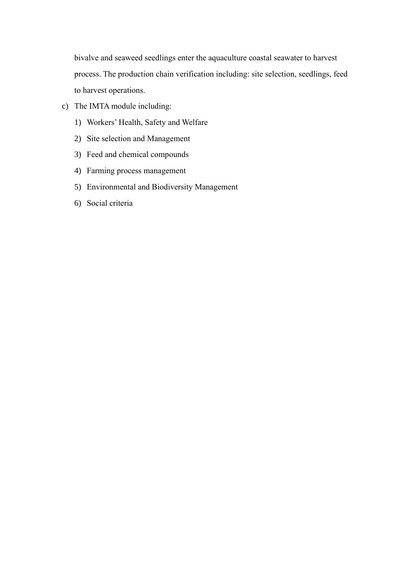bivalve and seaweed seedlings enter the aquaculture coastal seawater to harvest process. The production chain verification including: site selection, seedlings, feed to harvest operations.

- c) The IMTA module including:
	- 1) Workers' Health, Safety and Welfare
	- 2) Site selection and Management
	- 3) Feed and chemical compounds
	- 4) Farming process management
	- 5) Environmental and Biodiversity Management
	- 6) Social criteria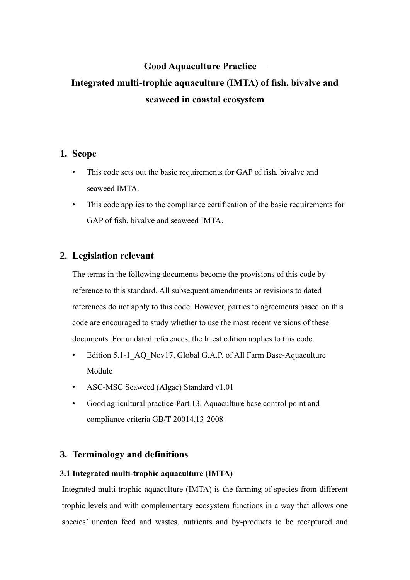## **Good Aquaculture Practice— Integrated multi-trophic aquaculture (IMTA) of fish, bivalve and seaweed in coastal ecosystem**

#### **1. Scope**

- This code sets out the basic requirements for GAP of fish, bivalve and seaweed IMTA.
- This code applies to the compliance certification of the basic requirements for GAP of fish, bivalve and seaweed IMTA.

#### **2. Legislation relevant**

The terms in the following documents become the provisions of this code by reference to this standard. All subsequent amendments or revisions to dated references do not apply to this code. However, parties to agreements based on this code are encouraged to study whether to use the most recent versions of these documents. For undated references, the latest edition applies to this code.

- Edition 5.1-1 AQ Nov17, Global G.A.P. of All Farm Base-Aquaculture Module
- ASC-MSC Seaweed (Algae) Standard v1.01
- Good agricultural practice-Part 13. Aquaculture base control point and compliance criteria GB/T 20014.13-2008

#### **3. Terminology and definitions**

#### **3.1 Integrated multi-trophic aquaculture (IMTA)**

Integrated multi-trophic aquaculture (IMTA) is the farming of species from different trophic levels and with complementary ecosystem functions in a way that allows one species' uneaten feed and wastes, nutrients and by-products to be recaptured and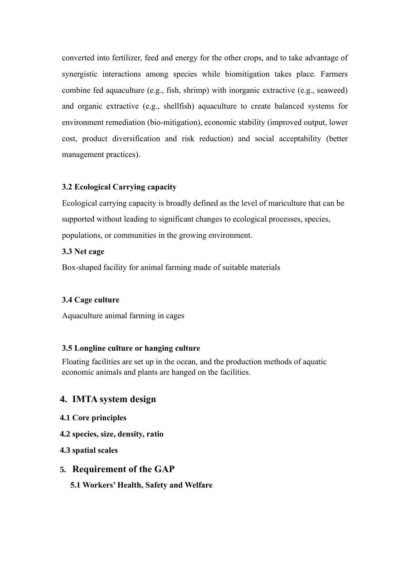converted into fertilizer, feed and energy for the other crops, and to take advantage of synergistic interactions among species while biomitigation takes place. Farmers combine fed aquaculture (e.g., fish, shrimp) with inorganic extractive (e.g., seaweed) and organic extractive (e.g., shellfish) aquaculture to create balanced systems for environment remediation (bio-mitigation), economic stability (improved output, lower cost, product diversification and risk reduction) and social acceptability (better management practices).

#### **3.2 Ecological Carrying capacity**

Ecological carrying capacity is broadly defined as the level of mariculture that can be supported without leading to significant changes to ecological processes, species, populations, or communities in the growing environment.

#### **3.3 Net cage**

Box-shaped facility for animal farming made of suitable materials

#### **3.4 Cage culture**

Aquaculture animal farming in cages

#### **3.5 Longline culture or hanging culture**

Floating facilities are set up in the ocean, and the production methods of aquatic economic animals and plants are hanged on the facilities.

#### **4. IMTA system design**

- **4.1 Core principles**
- **4.2 species, size, density, ratio**
- **4.3 spatial scales**

#### **5. Requirement of the GAP**

**5.1 Workers' Health, Safety and Welfare**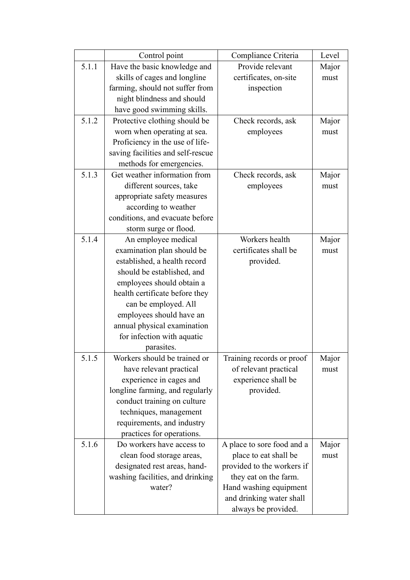|       | Control point                                             | Compliance Criteria                                 | Level         |
|-------|-----------------------------------------------------------|-----------------------------------------------------|---------------|
| 5.1.1 | Have the basic knowledge and                              | Provide relevant                                    | Major         |
|       | skills of cages and longline                              | certificates, on-site                               | must          |
|       | farming, should not suffer from                           | inspection                                          |               |
|       | night blindness and should                                |                                                     |               |
|       | have good swimming skills.                                |                                                     |               |
| 5.1.2 | Protective clothing should be                             | Check records, ask                                  | Major         |
|       | worn when operating at sea.                               | employees                                           | must          |
|       | Proficiency in the use of life-                           |                                                     |               |
|       | saving facilities and self-rescue                         |                                                     |               |
|       | methods for emergencies.                                  |                                                     |               |
| 5.1.3 | Get weather information from                              | Check records, ask                                  | Major         |
|       | different sources, take                                   | employees                                           | must          |
|       | appropriate safety measures                               |                                                     |               |
|       | according to weather                                      |                                                     |               |
|       | conditions, and evacuate before                           |                                                     |               |
|       | storm surge or flood.                                     |                                                     |               |
| 5.1.4 | An employee medical                                       | Workers health                                      | Major         |
|       | examination plan should be                                | certificates shall be                               | must          |
|       | established, a health record                              | provided.                                           |               |
|       | should be established, and                                |                                                     |               |
|       | employees should obtain a                                 |                                                     |               |
|       | health certificate before they                            |                                                     |               |
|       | can be employed. All                                      |                                                     |               |
|       | employees should have an                                  |                                                     |               |
|       | annual physical examination                               |                                                     |               |
|       | for infection with aquatic                                |                                                     |               |
|       | parasites.                                                |                                                     |               |
| 5.1.5 | Workers should be trained or                              | Training records or proof                           | Major         |
|       | have relevant practical                                   | of relevant practical                               | must          |
|       | experience in cages and                                   | experience shall be                                 |               |
|       | longline farming, and regularly                           | provided.                                           |               |
|       | conduct training on culture                               |                                                     |               |
|       | techniques, management                                    |                                                     |               |
|       | requirements, and industry                                |                                                     |               |
|       | practices for operations.                                 |                                                     |               |
| 5.1.6 | Do workers have access to                                 | A place to sore food and a<br>place to eat shall be | Major<br>must |
|       | clean food storage areas,<br>designated rest areas, hand- | provided to the workers if                          |               |
|       | washing facilities, and drinking                          | they eat on the farm.                               |               |
|       | water?                                                    | Hand washing equipment                              |               |
|       |                                                           | and drinking water shall                            |               |
|       |                                                           | always be provided.                                 |               |
|       |                                                           |                                                     |               |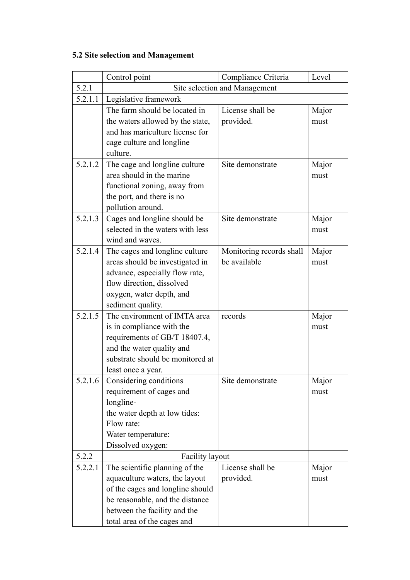## **5.2 Site selection and Management**

|         | Control point                                                 | Compliance Criteria      | Level |
|---------|---------------------------------------------------------------|--------------------------|-------|
| 5.2.1   | Site selection and Management                                 |                          |       |
| 5.2.1.1 | Legislative framework                                         |                          |       |
|         | The farm should be located in                                 | License shall be         | Major |
|         | the waters allowed by the state,                              | provided.                | must  |
|         | and has mariculture license for                               |                          |       |
|         | cage culture and longline                                     |                          |       |
|         | culture.                                                      |                          |       |
| 5.2.1.2 | The cage and longline culture                                 | Site demonstrate         | Major |
|         | area should in the marine                                     |                          | must  |
|         | functional zoning, away from                                  |                          |       |
|         | the port, and there is no                                     |                          |       |
|         | pollution around.                                             |                          |       |
| 5.2.1.3 | Cages and longline should be                                  | Site demonstrate         | Major |
|         | selected in the waters with less                              |                          | must  |
|         | wind and waves.                                               |                          |       |
| 5.2.1.4 | The cages and longline culture                                | Monitoring records shall | Major |
|         | areas should be investigated in                               | be available             | must  |
|         | advance, especially flow rate,                                |                          |       |
|         | flow direction, dissolved                                     |                          |       |
|         | oxygen, water depth, and                                      |                          |       |
|         | sediment quality.                                             |                          |       |
| 5.2.1.5 | The environment of IMTA area                                  | records                  | Major |
|         | is in compliance with the                                     |                          | must  |
|         | requirements of GB/T 18407.4,                                 |                          |       |
|         | and the water quality and<br>substrate should be monitored at |                          |       |
|         | least once a year.                                            |                          |       |
| 5.2.1.6 | Considering conditions                                        | Site demonstrate         | Major |
|         | requirement of cages and                                      |                          | must  |
|         | longline-                                                     |                          |       |
|         | the water depth at low tides:                                 |                          |       |
|         | Flow rate:                                                    |                          |       |
|         | Water temperature:                                            |                          |       |
|         | Dissolved oxygen:                                             |                          |       |
| 5.2.2   | <b>Facility layout</b>                                        |                          |       |
| 5.2.2.1 | The scientific planning of the                                | License shall be         | Major |
|         | aquaculture waters, the layout                                | provided.                | must  |
|         | of the cages and longline should                              |                          |       |
|         | be reasonable, and the distance                               |                          |       |
|         | between the facility and the                                  |                          |       |
|         | total area of the cages and                                   |                          |       |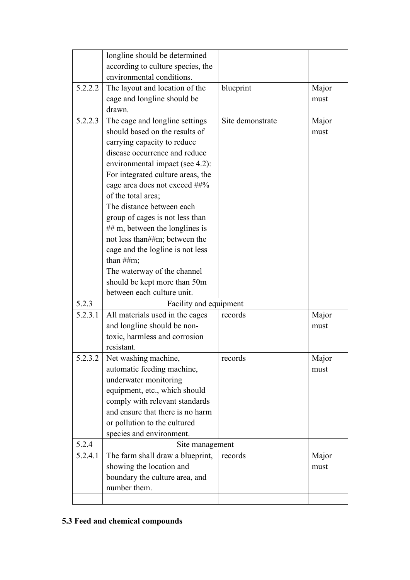|         | longline should be determined     |                  |       |
|---------|-----------------------------------|------------------|-------|
|         | according to culture species, the |                  |       |
|         | environmental conditions.         |                  |       |
|         |                                   |                  |       |
| 5.2.2.2 | The layout and location of the    | blueprint        | Major |
|         | cage and longline should be       |                  | must  |
|         | drawn.                            |                  |       |
| 5.2.2.3 | The cage and longline settings    | Site demonstrate | Major |
|         | should based on the results of    |                  | must  |
|         | carrying capacity to reduce       |                  |       |
|         | disease occurrence and reduce     |                  |       |
|         | environmental impact (see 4.2):   |                  |       |
|         | For integrated culture areas, the |                  |       |
|         | cage area does not exceed ##%     |                  |       |
|         | of the total area;                |                  |       |
|         | The distance between each         |                  |       |
|         | group of cages is not less than   |                  |       |
|         | $\#$ m, between the longlines is  |                  |       |
|         | not less than##m; between the     |                  |       |
|         | cage and the logline is not less  |                  |       |
|         | than $\#Hm$ ;                     |                  |       |
|         | The waterway of the channel       |                  |       |
|         | should be kept more than 50m      |                  |       |
|         | between each culture unit.        |                  |       |
| 5.2.3   | Facility and equipment            |                  |       |
| 5.2.3.1 | All materials used in the cages   | records          | Major |
|         | and longline should be non-       |                  | must  |
|         | toxic, harmless and corrosion     |                  |       |
|         | resistant.                        |                  |       |
| 5.2.3.2 | Net washing machine,              | records          | Major |
|         | automatic feeding machine,        |                  | must  |
|         | underwater monitoring             |                  |       |
|         | equipment, etc., which should     |                  |       |
|         | comply with relevant standards    |                  |       |
|         | and ensure that there is no harm  |                  |       |
|         | or pollution to the cultured      |                  |       |
|         | species and environment.          |                  |       |
| 5.2.4   | Site management                   |                  |       |
| 5.2.4.1 | The farm shall draw a blueprint,  | records          | Major |
|         | showing the location and          |                  | must  |
|         | boundary the culture area, and    |                  |       |
|         | number them.                      |                  |       |
|         |                                   |                  |       |
|         |                                   |                  |       |

## **5.3 Feed and chemical compounds**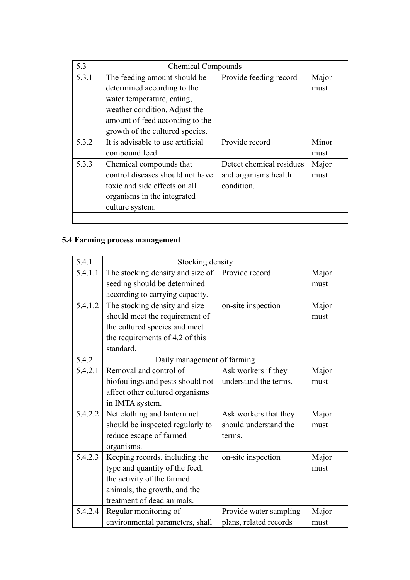| 5.3   | <b>Chemical Compounds</b>         |                          |       |
|-------|-----------------------------------|--------------------------|-------|
| 5.3.1 | The feeding amount should be      | Provide feeding record   | Major |
|       | determined according to the       |                          | must  |
|       | water temperature, eating,        |                          |       |
|       | weather condition. Adjust the     |                          |       |
|       | amount of feed according to the   |                          |       |
|       | growth of the cultured species.   |                          |       |
| 5.3.2 | It is advisable to use artificial | Provide record           | Minor |
|       | compound feed.                    |                          | must  |
| 5.3.3 | Chemical compounds that           | Detect chemical residues | Major |
|       | control diseases should not have  | and organisms health     | must  |
|       | toxic and side effects on all     | condition.               |       |
|       | organisms in the integrated       |                          |       |
|       | culture system.                   |                          |       |
|       |                                   |                          |       |

## **5.4 Farming process management**

| 5.4.1   | Stocking density                 |                        |       |
|---------|----------------------------------|------------------------|-------|
| 5.4.1.1 | The stocking density and size of | Provide record         | Major |
|         | seeding should be determined     |                        | must  |
|         | according to carrying capacity.  |                        |       |
| 5.4.1.2 | The stocking density and size    | on-site inspection     | Major |
|         | should meet the requirement of   |                        | must  |
|         | the cultured species and meet    |                        |       |
|         | the requirements of 4.2 of this  |                        |       |
|         | standard.                        |                        |       |
| 5.4.2   | Daily management of farming      |                        |       |
| 5.4.2.1 | Removal and control of           | Ask workers if they    | Major |
|         | biofoulings and pests should not | understand the terms.  | must  |
|         | affect other cultured organisms  |                        |       |
|         | in IMTA system.                  |                        |       |
| 5.4.2.2 | Net clothing and lantern net     | Ask workers that they  | Major |
|         | should be inspected regularly to | should understand the  | must  |
|         | reduce escape of farmed          | terms.                 |       |
|         | organisms.                       |                        |       |
| 5.4.2.3 | Keeping records, including the   | on-site inspection     | Major |
|         | type and quantity of the feed,   |                        | must  |
|         | the activity of the farmed       |                        |       |
|         | animals, the growth, and the     |                        |       |
|         | treatment of dead animals.       |                        |       |
| 5.4.2.4 | Regular monitoring of            | Provide water sampling | Major |
|         | environmental parameters, shall  | plans, related records | must  |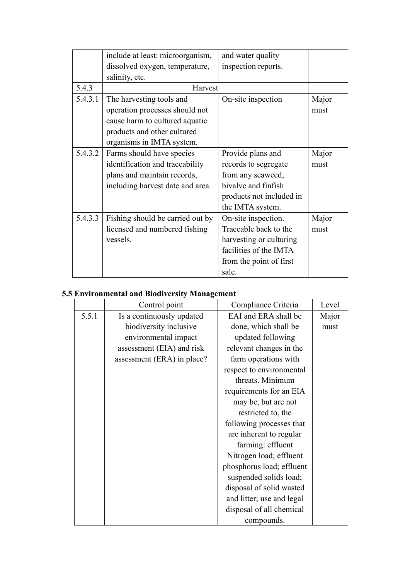|         | include at least: microorganism, | and water quality        |       |
|---------|----------------------------------|--------------------------|-------|
|         | dissolved oxygen, temperature,   | inspection reports.      |       |
|         | salinity, etc.                   |                          |       |
| 5.4.3   | Harvest                          |                          |       |
| 5.4.3.1 | The harvesting tools and         | On-site inspection       | Major |
|         | operation processes should not   |                          | must  |
|         | cause harm to cultured aquatic   |                          |       |
|         | products and other cultured      |                          |       |
|         | organisms in IMTA system.        |                          |       |
| 5.4.3.2 | Farms should have species        | Provide plans and        | Major |
|         | identification and traceability  | records to segregate     | must  |
|         | plans and maintain records,      | from any seaweed,        |       |
|         | including harvest date and area. | bivalve and finfish      |       |
|         |                                  | products not included in |       |
|         |                                  | the IMTA system.         |       |
| 5.4.3.3 | Fishing should be carried out by | On-site inspection.      | Major |
|         | licensed and numbered fishing    | Traceable back to the    | must  |
|         | vessels.                         | harvesting or culturing  |       |
|         |                                  | facilities of the IMTA   |       |
|         |                                  | from the point of first  |       |
|         |                                  | sale.                    |       |

## **5.5 Environmental and Biodiversity Management**

|       | Control point              | Compliance Criteria       | Level |
|-------|----------------------------|---------------------------|-------|
| 5.5.1 | Is a continuously updated  | EAI and ERA shall be      | Major |
|       | biodiversity inclusive     | done, which shall be      | must  |
|       | environmental impact       | updated following         |       |
|       | assessment (EIA) and risk  | relevant changes in the   |       |
|       | assessment (ERA) in place? | farm operations with      |       |
|       |                            | respect to environmental  |       |
|       |                            | threats. Minimum          |       |
|       |                            | requirements for an EIA   |       |
|       |                            | may be, but are not       |       |
|       |                            | restricted to, the        |       |
|       |                            | following processes that  |       |
|       |                            | are inherent to regular   |       |
|       |                            | farming: effluent         |       |
|       |                            | Nitrogen load; effluent   |       |
|       |                            | phosphorus load; effluent |       |
|       |                            | suspended solids load;    |       |
|       |                            | disposal of solid wasted  |       |
|       |                            | and litter; use and legal |       |
|       |                            | disposal of all chemical  |       |
|       |                            | compounds.                |       |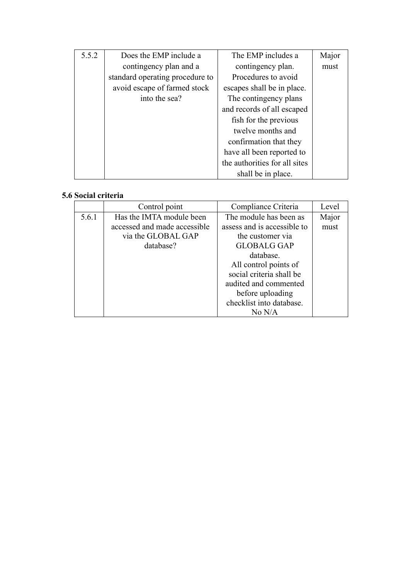| 5.5.2 | Does the EMP include a          | The EMP includes a            | Major |
|-------|---------------------------------|-------------------------------|-------|
|       | contingency plan and a          | contingency plan.             | must  |
|       | standard operating procedure to | Procedures to avoid           |       |
|       | avoid escape of farmed stock    | escapes shall be in place.    |       |
|       | into the sea?                   | The contingency plans         |       |
|       |                                 | and records of all escaped    |       |
|       |                                 | fish for the previous         |       |
|       |                                 | twelve months and             |       |
|       |                                 | confirmation that they        |       |
|       |                                 | have all been reported to     |       |
|       |                                 | the authorities for all sites |       |
|       |                                 | shall be in place.            |       |

### **5.6 Social criteria**

|       | Control point                | Compliance Criteria         | Level |
|-------|------------------------------|-----------------------------|-------|
| 5.6.1 | Has the IMTA module been     | The module has been as      | Major |
|       | accessed and made accessible | assess and is accessible to | must  |
|       | via the GLOBAL GAP           | the customer via            |       |
|       | database?                    | <b>GLOBALG GAP</b>          |       |
|       |                              | database.                   |       |
|       |                              | All control points of       |       |
|       |                              | social criteria shall be    |       |
|       |                              | audited and commented       |       |
|       |                              | before uploading            |       |
|       |                              | checklist into database.    |       |
|       |                              | No N/A                      |       |